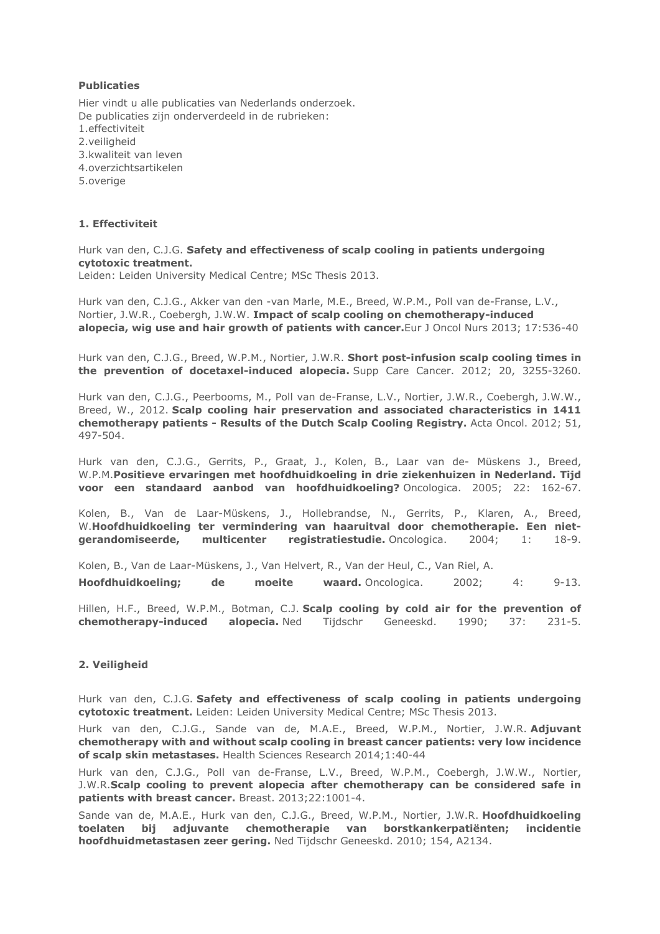# **Publicaties**

Hier vindt u alle publicaties van Nederlands onderzoek. De publicaties zijn onderverdeeld in de rubrieken: 1.effectiviteit 2.veiligheid 3.kwaliteit van leven 4.overzichtsartikelen 5.overige

### 1. Effectiviteit

# Hurk van den, C.J.G. Safety and effectiveness of scalp cooling in patients undergoing cytotoxic treatment.

Leiden: Leiden University Medical Centre; MSc Thesis 2013.

Hurk van den, C.J.G., Akker van den -van Marle, M.E., Breed, W.P.M., Poll van de-Franse, L.V., Nortier, J.W.R., Coebergh, J.W.W. Impact of scalp cooling on chemotherapy-induced alopecia, wig use and hair growth of patients with cancer.Eur J Oncol Nurs 2013; 17:536-40

Hurk van den, C.J.G., Breed, W.P.M., Nortier, J.W.R. Short post-infusion scalp cooling times in the prevention of docetaxel-induced alopecia. Supp Care Cancer. 2012; 20, 3255-3260.

Hurk van den, C.J.G., Peerbooms, M., Poll van de-Franse, L.V., Nortier, J.W.R., Coebergh, J.W.W., Breed, W., 2012. Scalp cooling hair preservation and associated characteristics in 1411 chemotherapy patients - Results of the Dutch Scalp Cooling Registry. Acta Oncol. 2012; 51, 497-504.

Hurk van den, C.J.G., Gerrits, P., Graat, J., Kolen, B., Laar van de- Müskens J., Breed, W.P.M.Positieve ervaringen met hoofdhuidkoeling in drie ziekenhuizen in Nederland. Tijd voor een standaard aanbod van hoofdhuidkoeling? Oncologica. 2005; 22: 162-67.

Kolen, B., Van de Laar-Müskens, J., Hollebrandse, N., Gerrits, P., Klaren, A., Breed, W.Hoofdhuidkoeling ter vermindering van haaruitval door chemotherapie. Een nietgerandomiseerde, multicenter registratiestudie. Oncologica. 2004; 1: 18-9.

Kolen, B., Van de Laar-Müskens, J., Van Helvert, R., Van der Heul, C., Van Riel, A.

Hoofdhuidkoeling; de moeite waard. Oncologica. 2002; 4: 9-13.

Hillen, H.F., Breed, W.P.M., Botman, C.J. Scalp cooling by cold air for the prevention of chemotherapy-induced alopecia. Ned Tijdschr Geneeskd. 1990; 37: 231-5.

### 2. Veiligheid

Hurk van den, C.J.G. Safety and effectiveness of scalp cooling in patients undergoing cytotoxic treatment. Leiden: Leiden University Medical Centre; MSc Thesis 2013.

Hurk van den, C.J.G., Sande van de, M.A.E., Breed, W.P.M., Nortier, J.W.R. Adjuvant chemotherapy with and without scalp cooling in breast cancer patients: very low incidence of scalp skin metastases. Health Sciences Research 2014;1:40-44

Hurk van den, C.J.G., Poll van de-Franse, L.V., Breed, W.P.M., Coebergh, J.W.W., Nortier, J.W.R.Scalp cooling to prevent alopecia after chemotherapy can be considered safe in patients with breast cancer. Breast. 2013;22:1001-4.

Sande van de, M.A.E., Hurk van den, C.J.G., Breed, W.P.M., Nortier, J.W.R. Hoofdhuidkoeling toelaten bij adjuvante chemotherapie van borstkankerpatiënten; incidentie hoofdhuidmetastasen zeer gering. Ned Tijdschr Geneeskd. 2010; 154, A2134.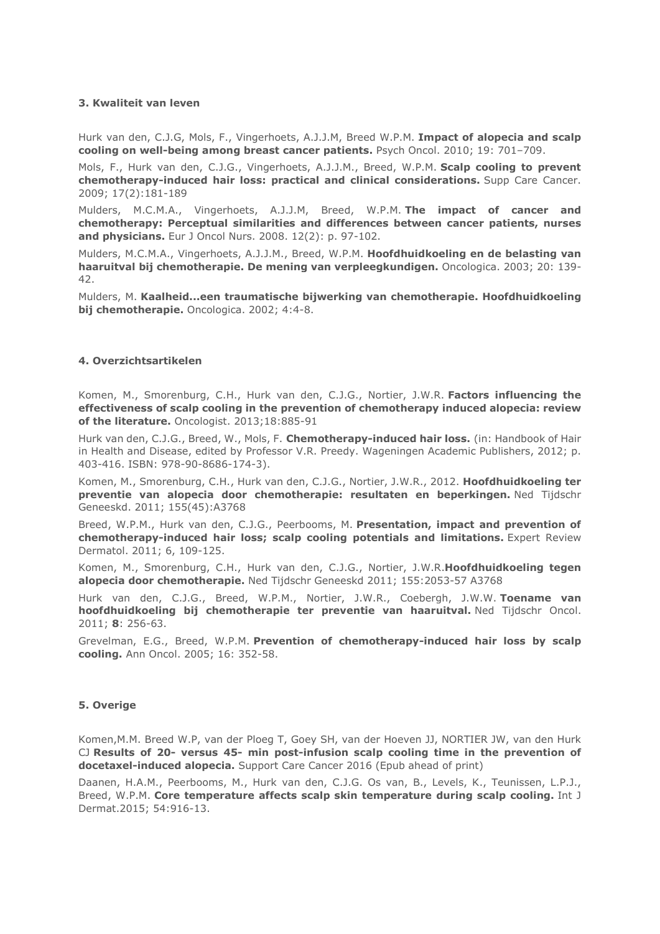#### 3. Kwaliteit van leven

Hurk van den, C.J.G, Mols, F., Vingerhoets, A.J.J.M, Breed W.P.M. Impact of alopecia and scalp cooling on well-being among breast cancer patients. Psych Oncol. 2010; 19: 701–709.

Mols, F., Hurk van den, C.J.G., Vingerhoets, A.J.J.M., Breed, W.P.M. Scalp cooling to prevent chemotherapy-induced hair loss: practical and clinical considerations. Supp Care Cancer. 2009; 17(2):181-189

Mulders, M.C.M.A., Vingerhoets, A.J.J.M, Breed, W.P.M. The impact of cancer and chemotherapy: Perceptual similarities and differences between cancer patients, nurses and physicians. Eur J Oncol Nurs. 2008. 12(2): p. 97-102.

Mulders, M.C.M.A., Vingerhoets, A.J.J.M., Breed, W.P.M. Hoofdhuidkoeling en de belasting van haaruitval bij chemotherapie. De mening van verpleegkundigen. Oncologica. 2003; 20: 139- 42.

Mulders, M. Kaalheid...een traumatische bijwerking van chemotherapie. Hoofdhuidkoeling bij chemotherapie. Oncologica. 2002; 4:4-8.

#### 4. Overzichtsartikelen

Komen, M., Smorenburg, C.H., Hurk van den, C.J.G., Nortier, J.W.R. Factors influencing the effectiveness of scalp cooling in the prevention of chemotherapy induced alopecia: review of the literature. Oncologist. 2013;18:885-91

Hurk van den, C.J.G., Breed, W., Mols, F. Chemotherapy-induced hair loss. (in: Handbook of Hair in Health and Disease, edited by Professor V.R. Preedy. Wageningen Academic Publishers, 2012; p. 403-416. ISBN: 978-90-8686-174-3).

Komen, M., Smorenburg, C.H., Hurk van den, C.J.G., Nortier, J.W.R., 2012. Hoofdhuidkoeling ter preventie van alopecia door chemotherapie: resultaten en beperkingen. Ned Tijdschr Geneeskd. 2011; 155(45):A3768

Breed, W.P.M., Hurk van den, C.J.G., Peerbooms, M. Presentation, impact and prevention of chemotherapy-induced hair loss; scalp cooling potentials and limitations. Expert Review Dermatol. 2011; 6, 109-125.

Komen, M., Smorenburg, C.H., Hurk van den, C.J.G., Nortier, J.W.R.Hoofdhuidkoeling tegen alopecia door chemotherapie. Ned Tijdschr Geneeskd 2011; 155:2053-57 A3768

Hurk van den, C.J.G., Breed, W.P.M., Nortier, J.W.R., Coebergh, J.W.W. Toename van hoofdhuidkoeling bij chemotherapie ter preventie van haaruitval. Ned Tijdschr Oncol. 2011; 8: 256-63.

Grevelman, E.G., Breed, W.P.M. Prevention of chemotherapy-induced hair loss by scalp cooling. Ann Oncol. 2005; 16: 352-58.

### 5. Overige

Komen,M.M. Breed W.P, van der Ploeg T, Goey SH, van der Hoeven JJ, NORTIER JW, van den Hurk CJ Results of 20- versus 45- min post-infusion scalp cooling time in the prevention of docetaxel-induced alopecia. Support Care Cancer 2016 (Epub ahead of print)

Daanen, H.A.M., Peerbooms, M., Hurk van den, C.J.G. Os van, B., Levels, K., Teunissen, L.P.J., Breed, W.P.M. Core temperature affects scalp skin temperature during scalp cooling. Int J Dermat.2015; 54:916-13.